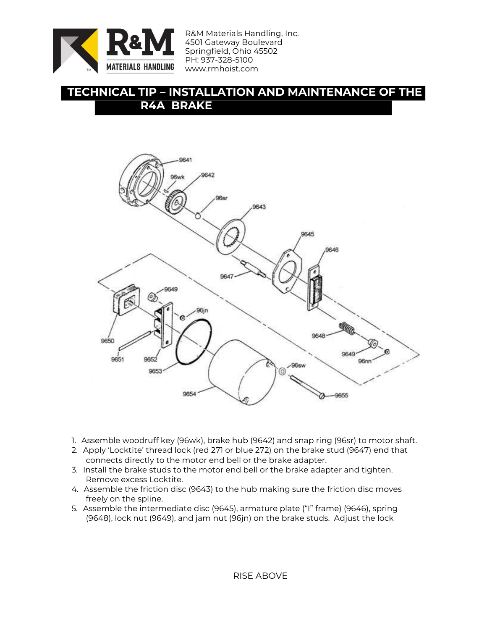

R&M Materials Handling, Inc. 4501 Gateway Boulevard Springfield, Ohio 45502 PH: 937-328-5100 www.rmhoist.com

## **TECHNICAL TIP – INSTALLATION AND MAINTENANCE OF THE R4A BRAKE**



- 1. Assemble woodruff key (96wk), brake hub (9642) and snap ring (96sr) to motor shaft.
- 2. Apply 'Locktite' thread lock (red 271 or blue 272) on the brake stud (9647) end that connects directly to the motor end bell or the brake adapter.
- 3. Install the brake studs to the motor end bell or the brake adapter and tighten. Remove excess Locktite.
- 4. Assemble the friction disc (9643) to the hub making sure the friction disc moves freely on the spline.
- 5. Assemble the intermediate disc (9645), armature plate ("I" frame) (9646), spring (9648), lock nut (9649), and jam nut (96jn) on the brake studs. Adjust the lock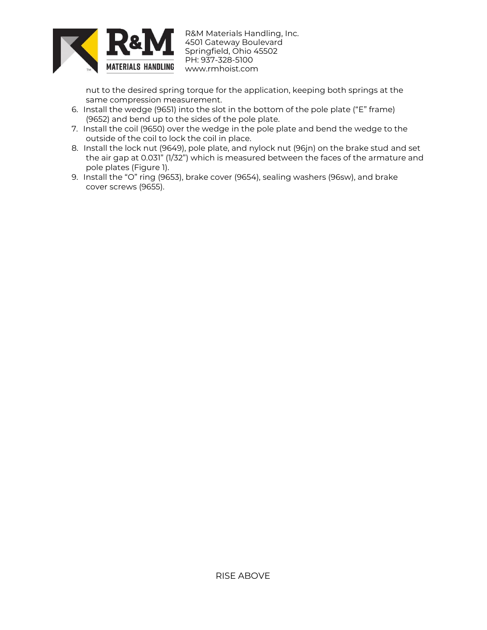

R&M Materials Handling, Inc. 4501 Gateway Boulevard Springfield, Ohio 45502 PH: 937-328-5100 www.rmhoist.com

nut to the desired spring torque for the application, keeping both springs at the same compression measurement.

- 6. Install the wedge (9651) into the slot in the bottom of the pole plate ("E" frame) (9652) and bend up to the sides of the pole plate.
- 7. Install the coil (9650) over the wedge in the pole plate and bend the wedge to the outside of the coil to lock the coil in place.
- 8. Install the lock nut (9649), pole plate, and nylock nut (96jn) on the brake stud and set the air gap at 0.031" (1/32") which is measured between the faces of the armature and pole plates (Figure 1).
- 9. Install the "O" ring (9653), brake cover (9654), sealing washers (96sw), and brake cover screws (9655).